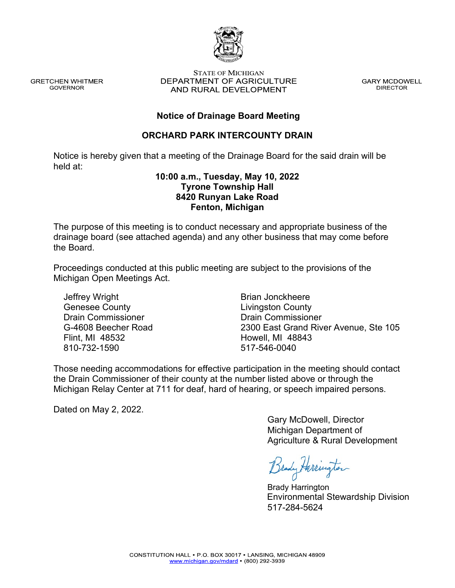

**GRETCHEN WHITMER GOVERNOR** 

**STATE OF MICHIGAN** DEPARTMENT OF AGRICULTURE AND RURAL DEVELOPMENT

**GARY MCDOWELL DIRECTOR** 

## **Notice of Drainage Board Meeting**

### **ORCHARD PARK INTERCOUNTY DRAIN**

Notice is hereby given that a meeting of the Drainage Board for the said drain will be held at:

### **10:00 a.m., Tuesday, May 10, 2022 Tyrone Township Hall 8420 Runyan Lake Road Fenton, Michigan**

The purpose of this meeting is to conduct necessary and appropriate business of the drainage board (see attached agenda) and any other business that may come before the Board.

Proceedings conducted at this public meeting are subject to the provisions of the Michigan Open Meetings Act.

Jeffrey Wright Genesee County Drain Commissioner G-4608 Beecher Road Flint, MI 48532 810-732-1590

Brian Jonckheere Livingston County Drain Commissioner 2300 East Grand River Avenue, Ste 105 Howell, MI 48843 517-546-0040

Those needing accommodations for effective participation in the meeting should contact the Drain Commissioner of their county at the number listed above or through the Michigan Relay Center at 711 for deaf, hard of hearing, or speech impaired persons.

Dated on May 2, 2022.

Gary McDowell, Director Michigan Department of Agriculture & Rural Development

Brady Herrington

Brady Harrington 517-284-5624 Environmental Stewardship Division